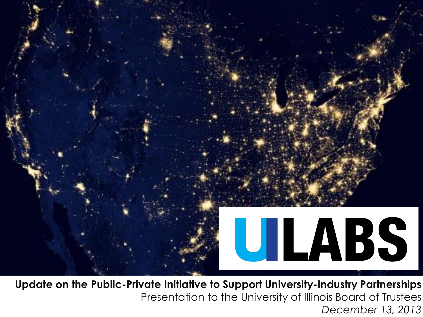

**Update on the Public-Private Initiative to Support University-Industry Partnerships** Presentation to the University of Illinois Board of Trustees *December 13, 2013*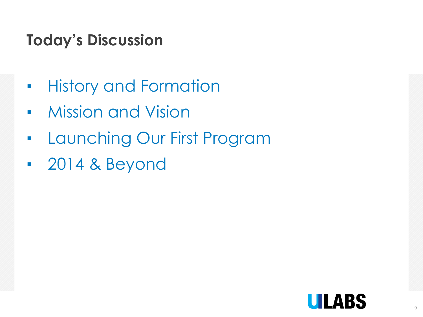## **Today's Discussion**

- History and Formation
- **Mission and Vision**
- Launching Our First Program
- 2014 & Beyond

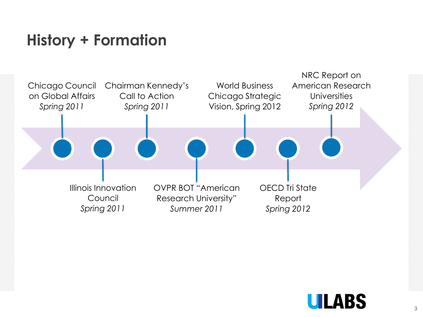### **History + Formation**



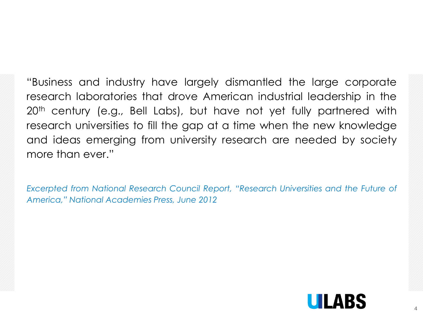"Business and industry have largely dismantled the large corporate research laboratories that drove American industrial leadership in the 20<sup>th</sup> century (e.g., Bell Labs), but have not yet fully partnered with research universities to fill the gap at a time when the new knowledge and ideas emerging from university research are needed by society more than ever."

*Excerpted from National Research Council Report, "Research Universities and the Future of America," National Academies Press, June 2012*

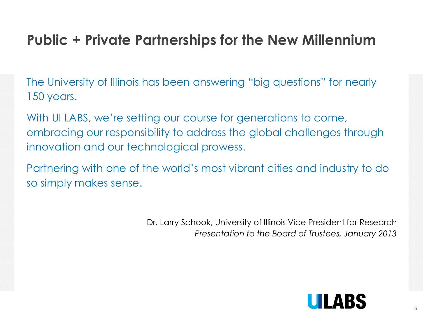### **Public + Private Partnerships for the New Millennium**

The University of Illinois has been answering "big questions" for nearly 150 years.

With UI LABS, we're setting our course for generations to come, embracing our responsibility to address the global challenges through innovation and our technological prowess.

Partnering with one of the world's most vibrant cities and industry to do so simply makes sense.

> Dr. Larry Schook, University of Illinois Vice President for Research *Presentation to the Board of Trustees, January 2013*

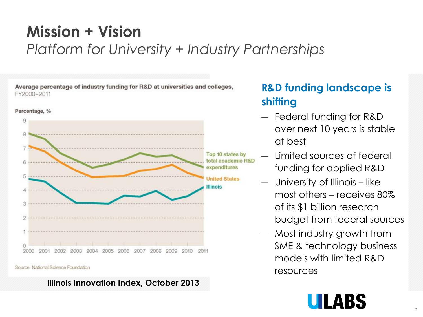### **Mission + Vision** *Platform for University + Industry Partnerships*

Average percentage of industry funding for R&D at universities and colleges, FY2000-2011



#### Source: National Science Foundation

**Illinois Innovation Index, October 2013**

#### **R&D funding landscape is shifting**

- ― Federal funding for R&D over next 10 years is stable at best
- ― Limited sources of federal funding for applied R&D
- ― University of Illinois like most others – receives 80% of its \$1 billion research budget from federal sources
- ― Most industry growth from SME & technology business models with limited R&D resources

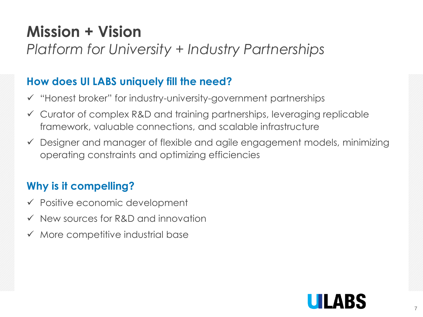## **Mission + Vision**

### *Platform for University + Industry Partnerships*

#### **How does UI LABS uniquely fill the need?**

- $\checkmark$  "Honest broker" for industry-university-government partnerships
- Curator of complex R&D and training partnerships, leveraging replicable framework, valuable connections, and scalable infrastructure
- Designer and manager of flexible and agile engagement models, minimizing operating constraints and optimizing efficiencies

#### **Why is it compelling?**

- $\checkmark$  Positive economic development
- $\checkmark$  New sources for R&D and innovation
- $\checkmark$  More competitive industrial base

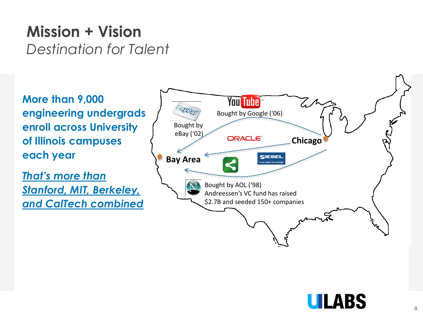### **Mission + Vision**  *Destination for Talent*

**More than 9,000 engineering undergrads enroll across University of Illinois campuses each year**

*That's more than Stanford, MIT, Berkeley, and CalTech combined*



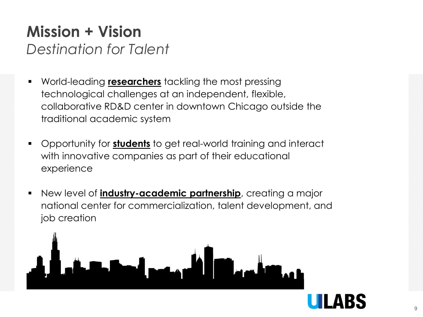# **Mission + Vision**

*Destination for Talent*

- World-leading **researchers** tackling the most pressing technological challenges at an independent, flexible, collaborative RD&D center in downtown Chicago outside the traditional academic system
- Opportunity for **students** to get real-world training and interact with innovative companies as part of their educational experience
- New level of **industry-academic partnership**, creating a major national center for commercialization, talent development, and job creation



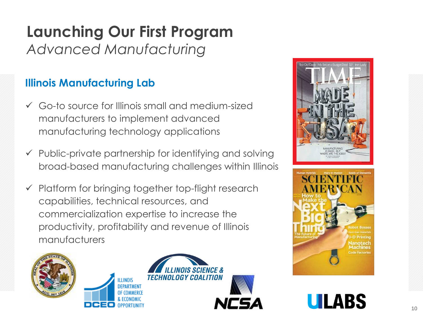### **Launching Our First Program** *Advanced Manufacturing*

#### **Illinois Manufacturing Lab**

- Go-to source for Illinois small and medium-sized manufacturers to implement advanced manufacturing technology applications
- $\checkmark$  Public-private partnership for identifying and solving broad-based manufacturing challenges within Illinois
- $\checkmark$  Platform for bringing together top-flight research capabilities, technical resources, and commercialization expertise to increase the productivity, profitability and revenue of Illinois manufacturers











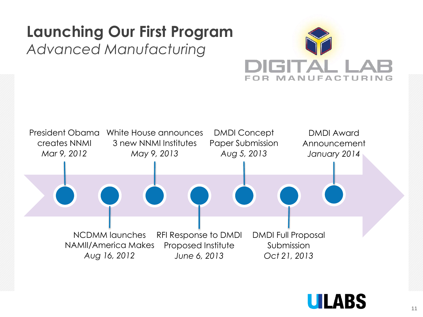## **Launching Our First Program**

### *Advanced Manufacturing*





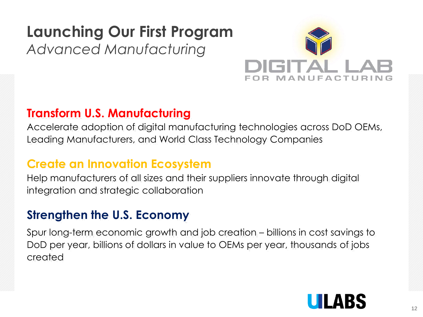## **Launching Our First Program**

#### *Advanced Manufacturing*



#### **Transform U.S. Manufacturing**

Accelerate adoption of digital manufacturing technologies across DoD OEMs, Leading Manufacturers, and World Class Technology Companies

#### **Create an Innovation Ecosystem**

Help manufacturers of all sizes and their suppliers innovate through digital integration and strategic collaboration

#### **Strengthen the U.S. Economy**

Spur long-term economic growth and job creation – billions in cost savings to DoD per year, billions of dollars in value to OEMs per year, thousands of jobs created

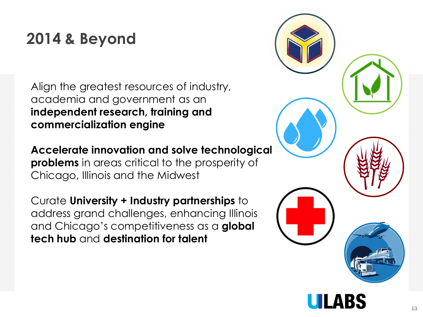## **2014 & Beyond**

Align the greatest resources of industry, academia and government as an **independent research, training and commercialization engine** 

**Accelerate innovation and solve technological problems** in areas critical to the prosperity of Chicago, Illinois and the Midwest

Curate **University + Industry partnerships** to address grand challenges, enhancing Illinois and Chicago's competitiveness as a **global tech hub** and **destination for talent**